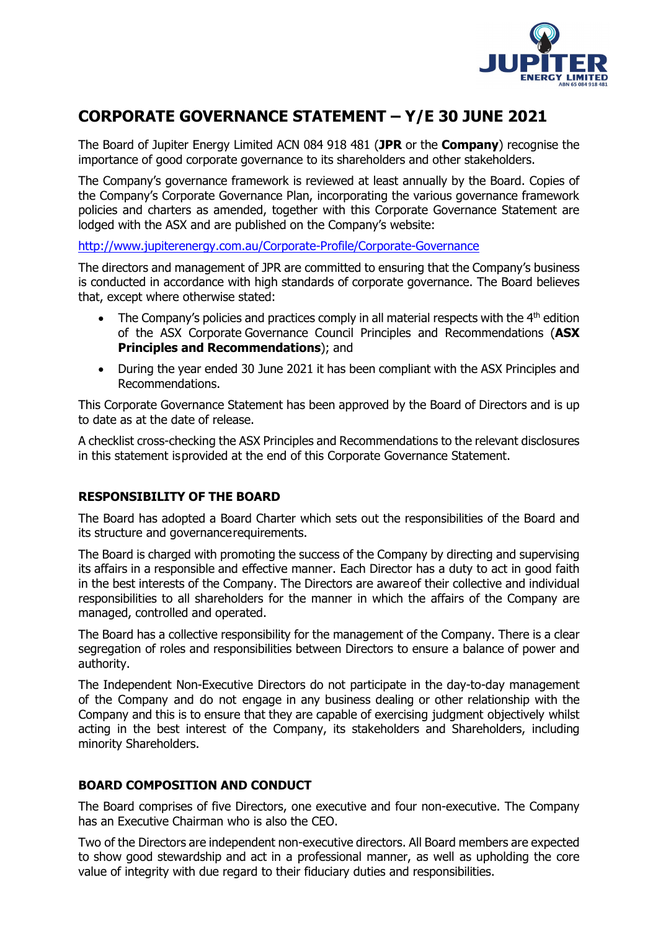

# **CORPORATE GOVERNANCE STATEMENT – Y/E 30 JUNE 2021**

The Board of Jupiter Energy Limited ACN 084 918 481 (**JPR** or the **Company**) recognise the importance of good corporate governance to its shareholders and other stakeholders.

The Company's governance framework is reviewed at least annually by the Board. Copies of the Company's Corporate Governance Plan, incorporating the various governance framework policies and charters as amended, together with this Corporate Governance Statement are lodged with the ASX and are published on the Company's website:

<http://www.jupiterenergy.com.au/Corporate-Profile/Corporate-Governance>

The directors and management of JPR are committed to ensuring that the Company's business is conducted in accordance with high standards of corporate governance. The Board believes that, except where otherwise stated:

- The Company's policies and practices comply in all material respects with the  $4<sup>th</sup>$  edition of the ASX Corporate Governance Council Principles and Recommendations (**ASX Principles and Recommendations**); and
- During the year ended 30 June 2021 it has been compliant with the ASX Principles and Recommendations.

This Corporate Governance Statement has been approved by the Board of Directors and is up to date as at the date of release.

A checklist cross-checking the ASX Principles and Recommendations to the relevant disclosures in this statement isprovided at the end of this Corporate Governance Statement.

## **RESPONSIBILITY OF THE BOARD**

The Board has adopted a Board Charter which sets out the responsibilities of the Board and its structure and governancerequirements.

The Board is charged with promoting the success of the Company by directing and supervising its affairs in a responsible and effective manner. Each Director has a duty to act in good faith in the best interests of the Company. The Directors are awareof their collective and individual responsibilities to all shareholders for the manner in which the affairs of the Company are managed, controlled and operated.

The Board has a collective responsibility for the management of the Company. There is a clear segregation of roles and responsibilities between Directors to ensure a balance of power and authority.

The Independent Non-Executive Directors do not participate in the day-to-day management of the Company and do not engage in any business dealing or other relationship with the Company and this is to ensure that they are capable of exercising judgment objectively whilst acting in the best interest of the Company, its stakeholders and Shareholders, including minority Shareholders.

## **BOARD COMPOSITION AND CONDUCT**

The Board comprises of five Directors, one executive and four non-executive. The Company has an Executive Chairman who is also the CEO.

Two of the Directors are independent non-executive directors. All Board members are expected to show good stewardship and act in a professional manner, as well as upholding the core value of integrity with due regard to their fiduciary duties and responsibilities.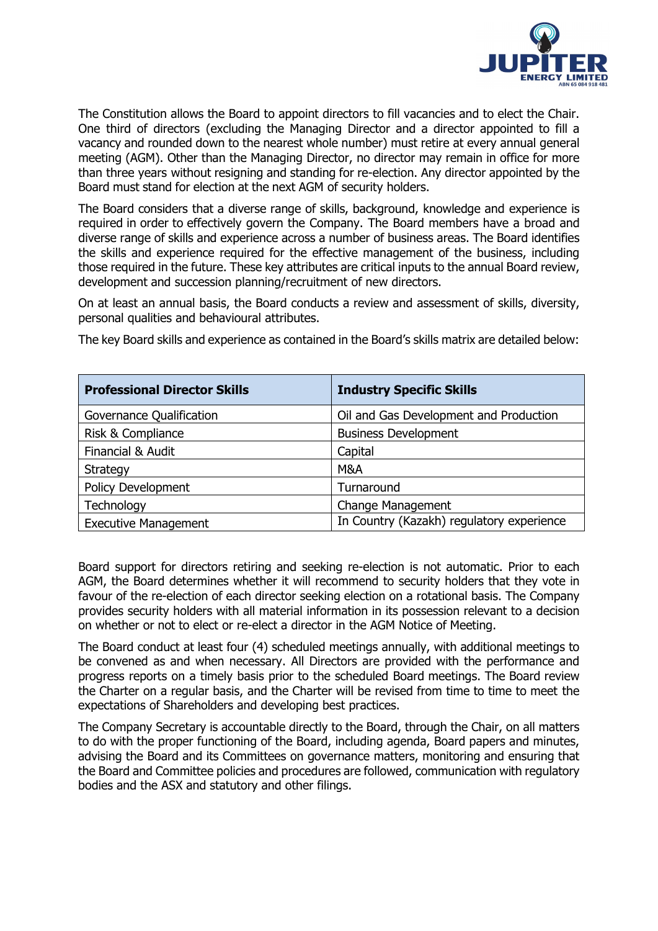

The Constitution allows the Board to appoint directors to fill vacancies and to elect the Chair. One third of directors (excluding the Managing Director and a director appointed to fill a vacancy and rounded down to the nearest whole number) must retire at every annual general meeting (AGM). Other than the Managing Director, no director may remain in office for more than three years without resigning and standing for re-election. Any director appointed by the Board must stand for election at the next AGM of security holders.

The Board considers that a diverse range of skills, background, knowledge and experience is required in order to effectively govern the Company. The Board members have a broad and diverse range of skills and experience across a number of business areas. The Board identifies the skills and experience required for the effective management of the business, including those required in the future. These key attributes are critical inputs to the annual Board review, development and succession planning/recruitment of new directors.

On at least an annual basis, the Board conducts a review and assessment of skills, diversity, personal qualities and behavioural attributes.

| <b>Professional Director Skills</b> | <b>Industry Specific Skills</b>           |
|-------------------------------------|-------------------------------------------|
| Governance Qualification            | Oil and Gas Development and Production    |
| <b>Risk &amp; Compliance</b>        | <b>Business Development</b>               |
| Financial & Audit                   | Capital                                   |
| Strategy                            | M&A                                       |
| <b>Policy Development</b>           | Turnaround                                |
| Technology                          | <b>Change Management</b>                  |
| <b>Executive Management</b>         | In Country (Kazakh) regulatory experience |

The key Board skills and experience as contained in the Board's skills matrix are detailed below:

Board support for directors retiring and seeking re-election is not automatic. Prior to each AGM, the Board determines whether it will recommend to security holders that they vote in favour of the re-election of each director seeking election on a rotational basis. The Company provides security holders with all material information in its possession relevant to a decision on whether or not to elect or re-elect a director in the AGM Notice of Meeting.

The Board conduct at least four (4) scheduled meetings annually, with additional meetings to be convened as and when necessary. All Directors are provided with the performance and progress reports on a timely basis prior to the scheduled Board meetings. The Board review the Charter on a regular basis, and the Charter will be revised from time to time to meet the expectations of Shareholders and developing best practices.

The Company Secretary is accountable directly to the Board, through the Chair, on all matters to do with the proper functioning of the Board, including agenda, Board papers and minutes, advising the Board and its Committees on governance matters, monitoring and ensuring that the Board and Committee policies and procedures are followed, communication with regulatory bodies and the ASX and statutory and other filings.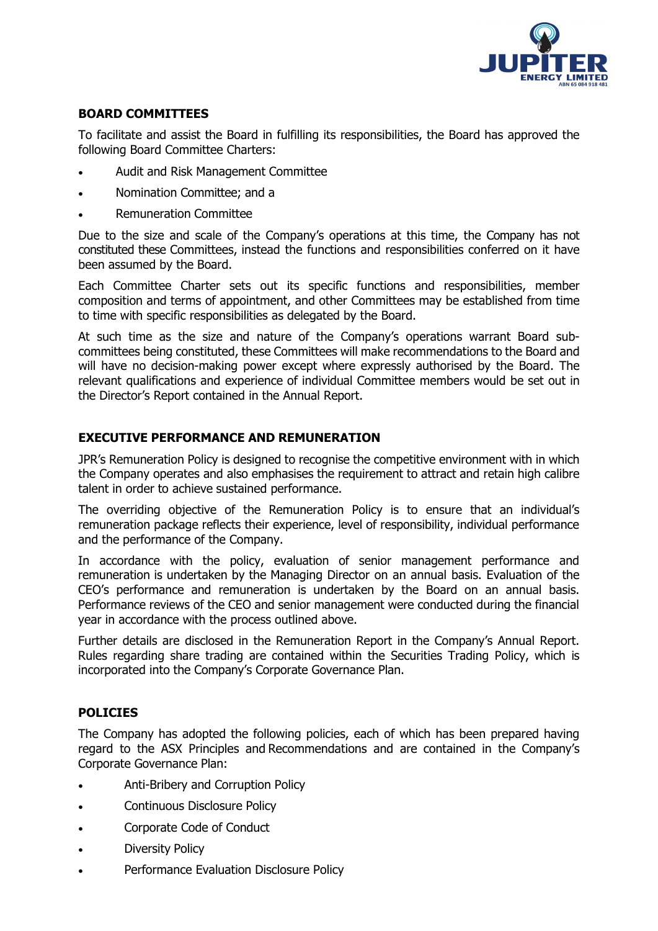

## **BOARD COMMITTEES**

To facilitate and assist the Board in fulfilling its responsibilities, the Board has approved the following Board Committee Charters:

- Audit and Risk Management Committee
- Nomination Committee; and a
- Remuneration Committee

Due to the size and scale of the Company's operations at this time, the Company has not constituted these Committees, instead the functions and responsibilities conferred on it have been assumed by the Board.

Each Committee Charter sets out its specific functions and responsibilities, member composition and terms of appointment, and other Committees may be established from time to time with specific responsibilities as delegated by the Board.

At such time as the size and nature of the Company's operations warrant Board subcommittees being constituted, these Committees will make recommendations to the Board and will have no decision-making power except where expressly authorised by the Board. The relevant qualifications and experience of individual Committee members would be set out in the Director's Report contained in the Annual Report.

#### **EXECUTIVE PERFORMANCE AND REMUNERATION**

JPR's Remuneration Policy is designed to recognise the competitive environment with in which the Company operates and also emphasises the requirement to attract and retain high calibre talent in order to achieve sustained performance.

The overriding objective of the Remuneration Policy is to ensure that an individual's remuneration package reflects their experience, level of responsibility, individual performance and the performance of the Company.

In accordance with the policy, evaluation of senior management performance and remuneration is undertaken by the Managing Director on an annual basis. Evaluation of the CEO's performance and remuneration is undertaken by the Board on an annual basis. Performance reviews of the CEO and senior management were conducted during the financial year in accordance with the process outlined above.

Further details are disclosed in the Remuneration Report in the Company's Annual Report. Rules regarding share trading are contained within the Securities Trading Policy, which is incorporated into the Company's Corporate Governance Plan.

## **POLICIES**

The Company has adopted the following policies, each of which has been prepared having regard to the ASX Principles and Recommendations and are contained in the Company's Corporate Governance Plan:

- Anti-Bribery and Corruption Policy
- Continuous Disclosure Policy
- Corporate Code of Conduct
- **Diversity Policy**
- Performance Evaluation Disclosure Policy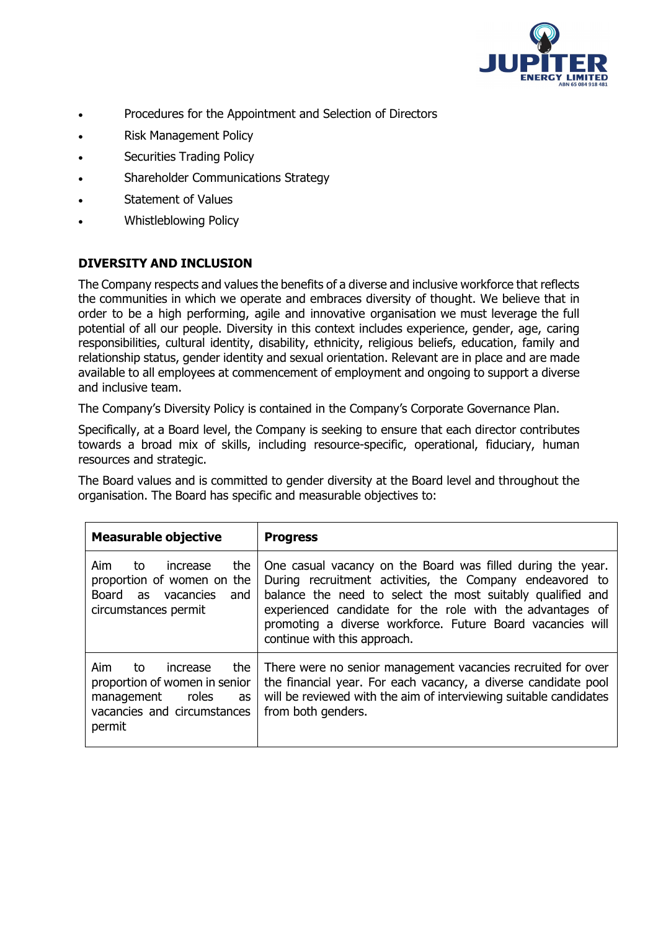

- Procedures for the Appointment and Selection of Directors
- Risk Management Policy
- Securities Trading Policy
- Shareholder Communications Strategy
- Statement of Values
- Whistleblowing Policy

## **DIVERSITY AND INCLUSION**

The Company respects and values the benefits of a diverse and inclusive workforce that reflects the communities in which we operate and embraces diversity of thought. We believe that in order to be a high performing, agile and innovative organisation we must leverage the full potential of all our people. Diversity in this context includes experience, gender, age, caring responsibilities, cultural identity, disability, ethnicity, religious beliefs, education, family and relationship status, gender identity and sexual orientation. Relevant are in place and are made available to all employees at commencement of employment and ongoing to support a diverse and inclusive team.

The Company's Diversity Policy is contained in the Company's Corporate Governance Plan.

Specifically, at a Board level, the Company is seeking to ensure that each director contributes towards a broad mix of skills, including resource-specific, operational, fiduciary, human resources and strategic.

The Board values and is committed to gender diversity at the Board level and throughout the organisation. The Board has specific and measurable objectives to:

| <b>Measurable objective</b>                                                                                                         | <b>Progress</b>                                                                                                                                                                                                                                                                                                                                  |
|-------------------------------------------------------------------------------------------------------------------------------------|--------------------------------------------------------------------------------------------------------------------------------------------------------------------------------------------------------------------------------------------------------------------------------------------------------------------------------------------------|
| Aim<br>the<br>to<br>increase<br>proportion of women on the<br>Board<br>vacancies<br>and<br>as<br>circumstances permit               | One casual vacancy on the Board was filled during the year.<br>During recruitment activities, the Company endeavored to<br>balance the need to select the most suitably qualified and<br>experienced candidate for the role with the advantages of<br>promoting a diverse workforce. Future Board vacancies will<br>continue with this approach. |
| Aim<br>the<br>increase<br>to<br>proportion of women in senior<br>roles<br>management<br>as<br>vacancies and circumstances<br>permit | There were no senior management vacancies recruited for over<br>the financial year. For each vacancy, a diverse candidate pool<br>will be reviewed with the aim of interviewing suitable candidates<br>from both genders.                                                                                                                        |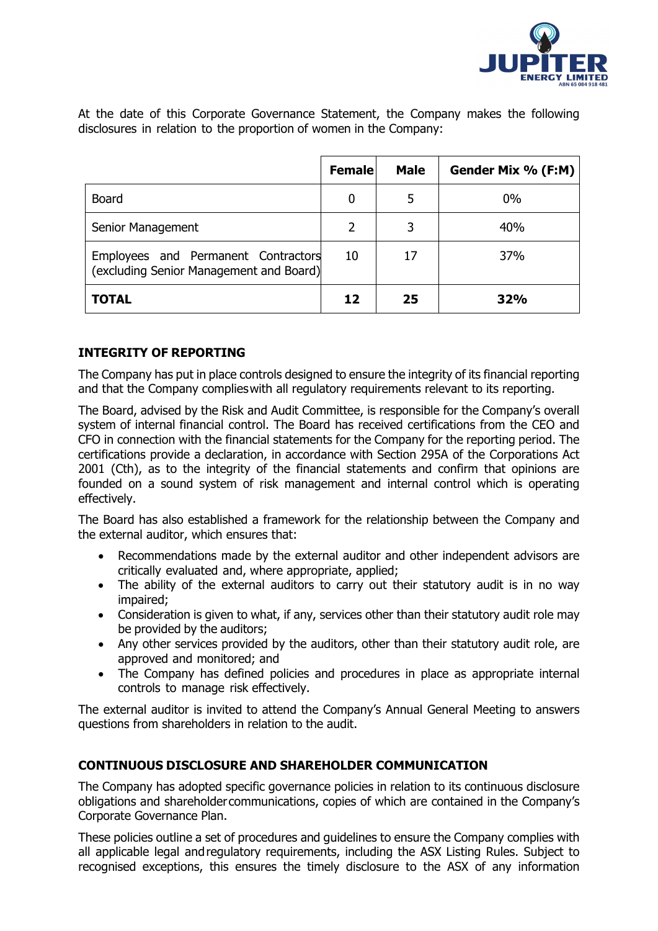

At the date of this Corporate Governance Statement, the Company makes the following disclosures in relation to the proportion of women in the Company:

|                                                                                | <b>Female</b>  | <b>Male</b> | Gender Mix % (F:M) |
|--------------------------------------------------------------------------------|----------------|-------------|--------------------|
| <b>Board</b>                                                                   | 0              | 5           | 0%                 |
| Senior Management                                                              | $\overline{2}$ | 3           | 40%                |
| Employees and Permanent Contractors<br>(excluding Senior Management and Board) | 10             | 17          | 37%                |
| <b>TOTAL</b>                                                                   | 12             | 25          | 32%                |

## **INTEGRITY OF REPORTING**

The Company has put in place controls designed to ensure the integrity of its financial reporting and that the Company complieswith all regulatory requirements relevant to its reporting.

The Board, advised by the Risk and Audit Committee, is responsible for the Company's overall system of internal financial control. The Board has received certifications from the CEO and CFO in connection with the financial statements for the Company for the reporting period. The certifications provide a declaration, in accordance with Section 295A of the Corporations Act 2001 (Cth), as to the integrity of the financial statements and confirm that opinions are founded on a sound system of risk management and internal control which is operating effectively.

The Board has also established a framework for the relationship between the Company and the external auditor, which ensures that:

- Recommendations made by the external auditor and other independent advisors are critically evaluated and, where appropriate, applied;
- The ability of the external auditors to carry out their statutory audit is in no way impaired;
- Consideration is given to what, if any, services other than their statutory audit role may be provided by the auditors;
- Any other services provided by the auditors, other than their statutory audit role, are approved and monitored; and
- The Company has defined policies and procedures in place as appropriate internal controls to manage risk effectively.

The external auditor is invited to attend the Company's Annual General Meeting to answers questions from shareholders in relation to the audit.

## **CONTINUOUS DISCLOSURE AND SHAREHOLDER COMMUNICATION**

The Company has adopted specific governance policies in relation to its continuous disclosure obligations and shareholdercommunications, copies of which are contained in the Company's Corporate Governance Plan.

These policies outline a set of procedures and guidelines to ensure the Company complies with all applicable legal andregulatory requirements, including the ASX Listing Rules. Subject to recognised exceptions, this ensures the timely disclosure to the ASX of any information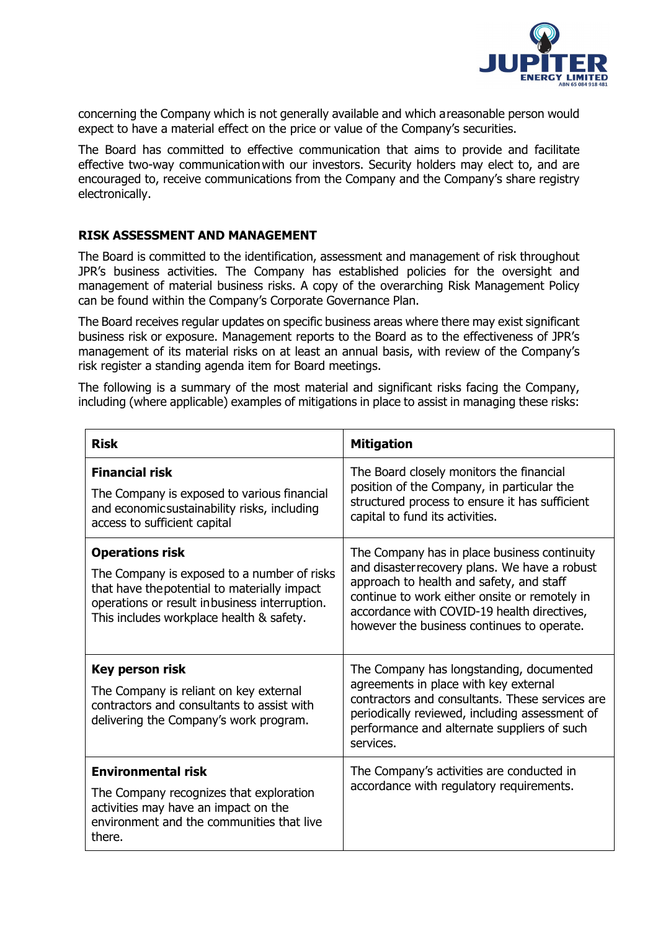

concerning the Company which is not generally available and which areasonable person would expect to have a material effect on the price or value of the Company's securities.

The Board has committed to effective communication that aims to provide and facilitate effective two-way communicationwith our investors. Security holders may elect to, and are encouraged to, receive communications from the Company and the Company's share registry electronically.

#### **RISK ASSESSMENT AND MANAGEMENT**

The Board is committed to the identification, assessment and management of risk throughout JPR's business activities. The Company has established policies for the oversight and management of material business risks. A copy of the overarching Risk Management Policy can be found within the Company's Corporate Governance Plan.

The Board receives regular updates on specific business areas where there may exist significant business risk or exposure. Management reports to the Board as to the effectiveness of JPR's management of its material risks on at least an annual basis, with review of the Company's risk register a standing agenda item for Board meetings.

The following is a summary of the most material and significant risks facing the Company, including (where applicable) examples of mitigations in place to assist in managing these risks:

| <b>Risk</b>                                                                                                                                                                                                        | <b>Mitigation</b>                                                                                                                                                                                                                                                                       |
|--------------------------------------------------------------------------------------------------------------------------------------------------------------------------------------------------------------------|-----------------------------------------------------------------------------------------------------------------------------------------------------------------------------------------------------------------------------------------------------------------------------------------|
| <b>Financial risk</b><br>The Company is exposed to various financial<br>and economicsustainability risks, including<br>access to sufficient capital                                                                | The Board closely monitors the financial<br>position of the Company, in particular the<br>structured process to ensure it has sufficient<br>capital to fund its activities.                                                                                                             |
| <b>Operations risk</b><br>The Company is exposed to a number of risks<br>that have the potential to materially impact<br>operations or result inbusiness interruption.<br>This includes workplace health & safety. | The Company has in place business continuity<br>and disaster recovery plans. We have a robust<br>approach to health and safety, and staff<br>continue to work either onsite or remotely in<br>accordance with COVID-19 health directives,<br>however the business continues to operate. |
| <b>Key person risk</b><br>The Company is reliant on key external<br>contractors and consultants to assist with<br>delivering the Company's work program.                                                           | The Company has longstanding, documented<br>agreements in place with key external<br>contractors and consultants. These services are<br>periodically reviewed, including assessment of<br>performance and alternate suppliers of such<br>services.                                      |
| <b>Environmental risk</b><br>The Company recognizes that exploration<br>activities may have an impact on the<br>environment and the communities that live<br>there.                                                | The Company's activities are conducted in<br>accordance with regulatory requirements.                                                                                                                                                                                                   |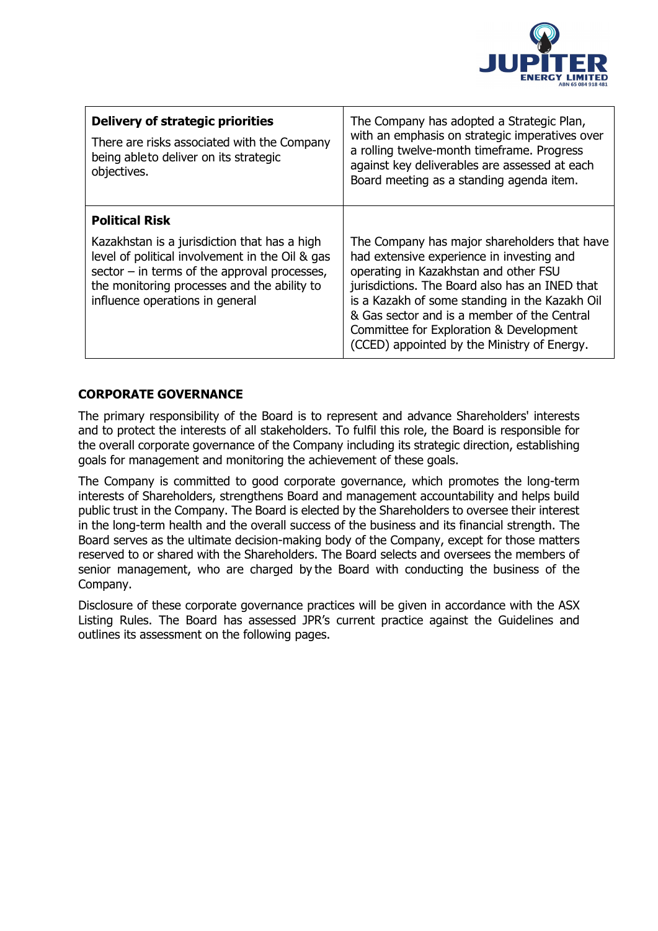

| Delivery of strategic priorities<br>There are risks associated with the Company<br>being ableto deliver on its strategic<br>objectives.                                                                                                                      | The Company has adopted a Strategic Plan,<br>with an emphasis on strategic imperatives over<br>a rolling twelve-month timeframe. Progress<br>against key deliverables are assessed at each<br>Board meeting as a standing agenda item.                                                                                                                                          |
|--------------------------------------------------------------------------------------------------------------------------------------------------------------------------------------------------------------------------------------------------------------|---------------------------------------------------------------------------------------------------------------------------------------------------------------------------------------------------------------------------------------------------------------------------------------------------------------------------------------------------------------------------------|
| <b>Political Risk</b><br>Kazakhstan is a jurisdiction that has a high<br>level of political involvement in the Oil & gas<br>sector $-$ in terms of the approval processes,<br>the monitoring processes and the ability to<br>influence operations in general | The Company has major shareholders that have<br>had extensive experience in investing and<br>operating in Kazakhstan and other FSU<br>jurisdictions. The Board also has an INED that<br>is a Kazakh of some standing in the Kazakh Oil<br>& Gas sector and is a member of the Central<br>Committee for Exploration & Development<br>(CCED) appointed by the Ministry of Energy. |

# **CORPORATE GOVERNANCE**

The primary responsibility of the Board is to represent and advance Shareholders' interests and to protect the interests of all stakeholders. To fulfil this role, the Board is responsible for the overall corporate governance of the Company including its strategic direction, establishing goals for management and monitoring the achievement of these goals.

The Company is committed to good corporate governance, which promotes the long-term interests of Shareholders, strengthens Board and management accountability and helps build public trust in the Company. The Board is elected by the Shareholders to oversee their interest in the long-term health and the overall success of the business and its financial strength. The Board serves as the ultimate decision-making body of the Company, except for those matters reserved to or shared with the Shareholders. The Board selects and oversees the members of senior management, who are charged by the Board with conducting the business of the Company.

Disclosure of these corporate governance practices will be given in accordance with the ASX Listing Rules. The Board has assessed JPR's current practice against the Guidelines and outlines its assessment on the following pages.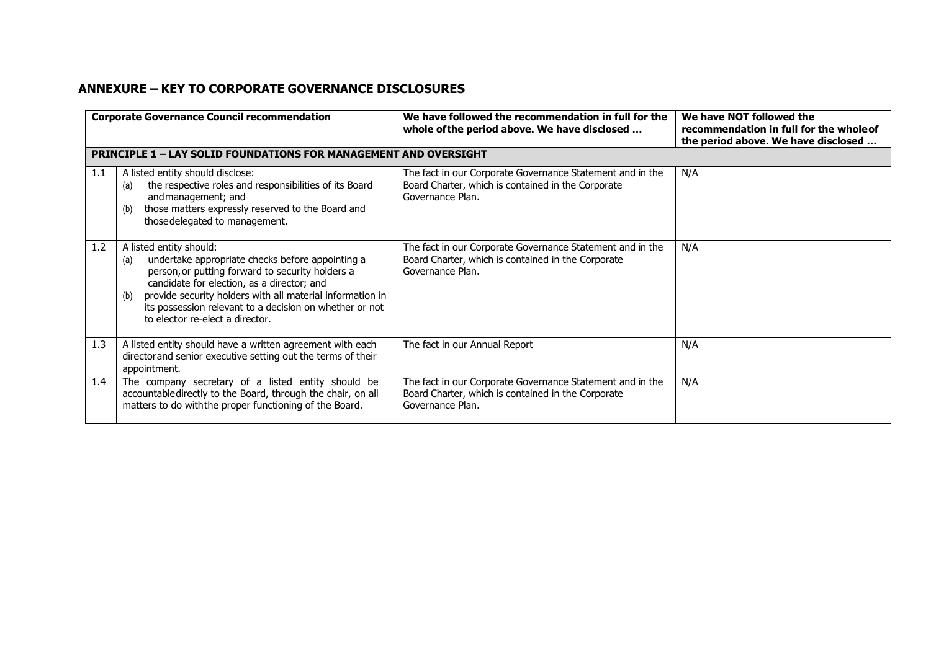#### **ANNEXURE – KEY TO CORPORATE GOVERNANCE DISCLOSURES**

|     | <b>Corporate Governance Council recommendation</b>                                                                                                                                                                                                                                                                                                     | We have followed the recommendation in full for the<br>whole of the period above. We have disclosed                                 | We have NOT followed the<br>recommendation in full for the wholeof<br>the period above. We have disclosed |
|-----|--------------------------------------------------------------------------------------------------------------------------------------------------------------------------------------------------------------------------------------------------------------------------------------------------------------------------------------------------------|-------------------------------------------------------------------------------------------------------------------------------------|-----------------------------------------------------------------------------------------------------------|
|     | <b>PRINCIPLE 1 - LAY SOLID FOUNDATIONS FOR MANAGEMENT AND OVERSIGHT</b>                                                                                                                                                                                                                                                                                |                                                                                                                                     |                                                                                                           |
| 1.1 | A listed entity should disclose:<br>the respective roles and responsibilities of its Board<br>(a)<br>and management; and<br>those matters expressly reserved to the Board and<br>(b)<br>those delegated to management.                                                                                                                                 | The fact in our Corporate Governance Statement and in the<br>Board Charter, which is contained in the Corporate<br>Governance Plan. | N/A                                                                                                       |
| 1.2 | A listed entity should:<br>undertake appropriate checks before appointing a<br>(a)<br>person, or putting forward to security holders a<br>candidate for election, as a director; and<br>provide security holders with all material information in<br>(b)<br>its possession relevant to a decision on whether or not<br>to elector re-elect a director. | The fact in our Corporate Governance Statement and in the<br>Board Charter, which is contained in the Corporate<br>Governance Plan. | N/A                                                                                                       |
| 1.3 | A listed entity should have a written agreement with each<br>director and senior executive setting out the terms of their<br>appointment.                                                                                                                                                                                                              | The fact in our Annual Report                                                                                                       | N/A                                                                                                       |
| 1.4 | The company secretary of a listed entity should be<br>accountabledirectly to the Board, through the chair, on all<br>matters to do with the proper functioning of the Board.                                                                                                                                                                           | The fact in our Corporate Governance Statement and in the<br>Board Charter, which is contained in the Corporate<br>Governance Plan. | N/A                                                                                                       |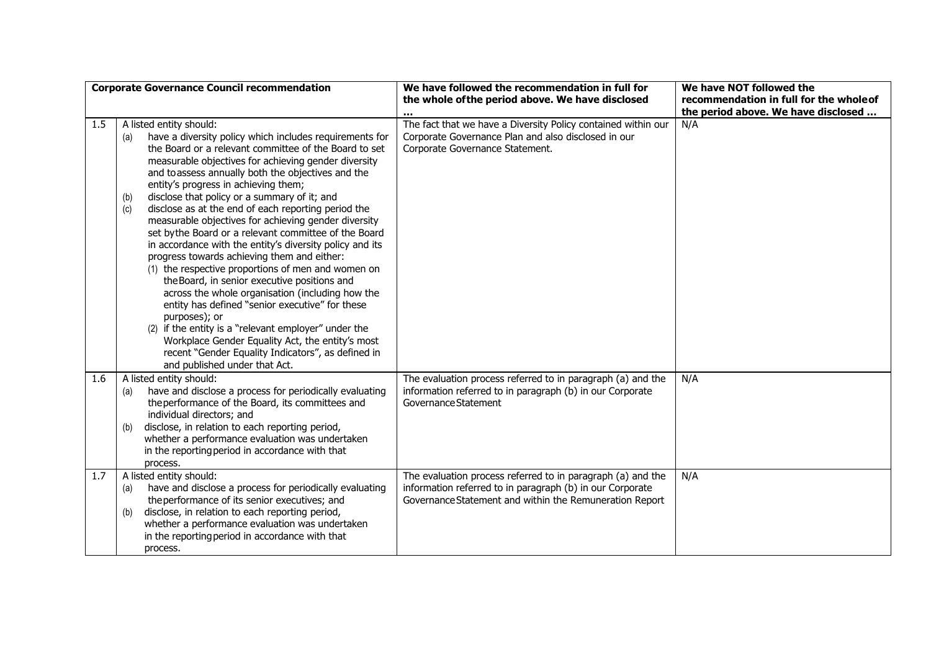|     | <b>Corporate Governance Council recommendation</b>                                                                                                                                                                                                                                                                                                                                                                                                                                                                                                                                                                                                                                                                                                                                                                                                                                                                                                                                                                                                                                       | We have followed the recommendation in full for<br>the whole of the period above. We have disclosed                                                                                 | We have NOT followed the<br>recommendation in full for the whole of |
|-----|------------------------------------------------------------------------------------------------------------------------------------------------------------------------------------------------------------------------------------------------------------------------------------------------------------------------------------------------------------------------------------------------------------------------------------------------------------------------------------------------------------------------------------------------------------------------------------------------------------------------------------------------------------------------------------------------------------------------------------------------------------------------------------------------------------------------------------------------------------------------------------------------------------------------------------------------------------------------------------------------------------------------------------------------------------------------------------------|-------------------------------------------------------------------------------------------------------------------------------------------------------------------------------------|---------------------------------------------------------------------|
|     |                                                                                                                                                                                                                                                                                                                                                                                                                                                                                                                                                                                                                                                                                                                                                                                                                                                                                                                                                                                                                                                                                          |                                                                                                                                                                                     | the period above. We have disclosed                                 |
| 1.5 | A listed entity should:<br>have a diversity policy which includes requirements for<br>(a)<br>the Board or a relevant committee of the Board to set<br>measurable objectives for achieving gender diversity<br>and toassess annually both the objectives and the<br>entity's progress in achieving them;<br>disclose that policy or a summary of it; and<br>(b)<br>disclose as at the end of each reporting period the<br>(c)<br>measurable objectives for achieving gender diversity<br>set bythe Board or a relevant committee of the Board<br>in accordance with the entity's diversity policy and its<br>progress towards achieving them and either:<br>(1) the respective proportions of men and women on<br>the Board, in senior executive positions and<br>across the whole organisation (including how the<br>entity has defined "senior executive" for these<br>purposes); or<br>(2) if the entity is a "relevant employer" under the<br>Workplace Gender Equality Act, the entity's most<br>recent "Gender Equality Indicators", as defined in<br>and published under that Act. | The fact that we have a Diversity Policy contained within our<br>Corporate Governance Plan and also disclosed in our<br>Corporate Governance Statement.                             | N/A                                                                 |
| 1.6 | A listed entity should:                                                                                                                                                                                                                                                                                                                                                                                                                                                                                                                                                                                                                                                                                                                                                                                                                                                                                                                                                                                                                                                                  | The evaluation process referred to in paragraph (a) and the                                                                                                                         | N/A                                                                 |
|     | have and disclose a process for periodically evaluating<br>(a)<br>the performance of the Board, its committees and<br>individual directors; and<br>disclose, in relation to each reporting period,<br>(b)                                                                                                                                                                                                                                                                                                                                                                                                                                                                                                                                                                                                                                                                                                                                                                                                                                                                                | information referred to in paragraph (b) in our Corporate<br>Governance Statement                                                                                                   |                                                                     |
|     | whether a performance evaluation was undertaken<br>in the reporting period in accordance with that<br>process.                                                                                                                                                                                                                                                                                                                                                                                                                                                                                                                                                                                                                                                                                                                                                                                                                                                                                                                                                                           |                                                                                                                                                                                     |                                                                     |
| 1.7 | A listed entity should:<br>have and disclose a process for periodically evaluating<br>(a)<br>the performance of its senior executives; and<br>disclose, in relation to each reporting period,<br>(b)<br>whether a performance evaluation was undertaken<br>in the reporting period in accordance with that<br>process.                                                                                                                                                                                                                                                                                                                                                                                                                                                                                                                                                                                                                                                                                                                                                                   | The evaluation process referred to in paragraph (a) and the<br>information referred to in paragraph (b) in our Corporate<br>Governance Statement and within the Remuneration Report | N/A                                                                 |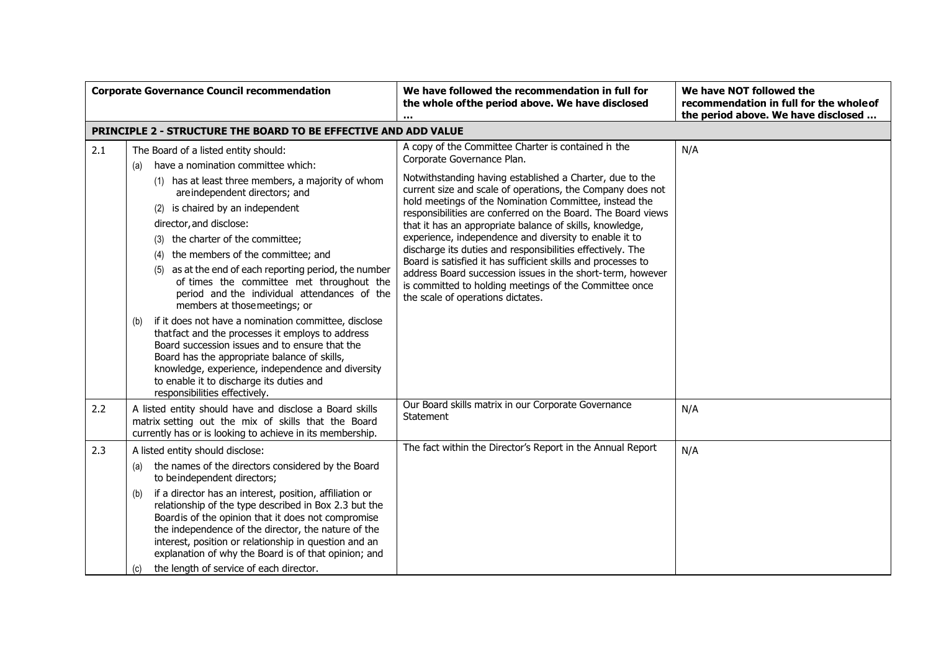|     | <b>Corporate Governance Council recommendation</b>                                                                                                                                                                                                                                                                                                                                                                                                                                                                                                                                                                                                                                                                                                                                                                                                                     | We have followed the recommendation in full for<br>the whole of the period above. We have disclosed                                                                                                                                                                                                                                                                                                                                                                                                                                                                                                                                                                                                                                                    | We have NOT followed the<br>recommendation in full for the whole of<br>the period above. We have disclosed |
|-----|------------------------------------------------------------------------------------------------------------------------------------------------------------------------------------------------------------------------------------------------------------------------------------------------------------------------------------------------------------------------------------------------------------------------------------------------------------------------------------------------------------------------------------------------------------------------------------------------------------------------------------------------------------------------------------------------------------------------------------------------------------------------------------------------------------------------------------------------------------------------|--------------------------------------------------------------------------------------------------------------------------------------------------------------------------------------------------------------------------------------------------------------------------------------------------------------------------------------------------------------------------------------------------------------------------------------------------------------------------------------------------------------------------------------------------------------------------------------------------------------------------------------------------------------------------------------------------------------------------------------------------------|------------------------------------------------------------------------------------------------------------|
|     | <b>PRINCIPLE 2 - STRUCTURE THE BOARD TO BE EFFECTIVE AND ADD VALUE</b>                                                                                                                                                                                                                                                                                                                                                                                                                                                                                                                                                                                                                                                                                                                                                                                                 |                                                                                                                                                                                                                                                                                                                                                                                                                                                                                                                                                                                                                                                                                                                                                        |                                                                                                            |
| 2.1 | The Board of a listed entity should:<br>have a nomination committee which:<br>(a)<br>(1) has at least three members, a majority of whom<br>are independent directors; and<br>(2) is chaired by an independent<br>director, and disclose:<br>(3) the charter of the committee;<br>(4) the members of the committee; and<br>(5) as at the end of each reporting period, the number<br>of times the committee met throughout the<br>period and the individual attendances of the<br>members at those meetings; or<br>if it does not have a nomination committee, disclose<br>(b)<br>that fact and the processes it employs to address<br>Board succession issues and to ensure that the<br>Board has the appropriate balance of skills,<br>knowledge, experience, independence and diversity<br>to enable it to discharge its duties and<br>responsibilities effectively. | A copy of the Committee Charter is contained in the<br>Corporate Governance Plan.<br>Notwithstanding having established a Charter, due to the<br>current size and scale of operations, the Company does not<br>hold meetings of the Nomination Committee, instead the<br>responsibilities are conferred on the Board. The Board views<br>that it has an appropriate balance of skills, knowledge,<br>experience, independence and diversity to enable it to<br>discharge its duties and responsibilities effectively. The<br>Board is satisfied it has sufficient skills and processes to<br>address Board succession issues in the short-term, however<br>is committed to holding meetings of the Committee once<br>the scale of operations dictates. | N/A                                                                                                        |
| 2.2 | A listed entity should have and disclose a Board skills<br>matrix setting out the mix of skills that the Board<br>currently has or is looking to achieve in its membership.                                                                                                                                                                                                                                                                                                                                                                                                                                                                                                                                                                                                                                                                                            | Our Board skills matrix in our Corporate Governance<br>Statement                                                                                                                                                                                                                                                                                                                                                                                                                                                                                                                                                                                                                                                                                       | N/A                                                                                                        |
| 2.3 | A listed entity should disclose:<br>the names of the directors considered by the Board<br>(a)<br>to beindependent directors;<br>if a director has an interest, position, affiliation or<br>(b)<br>relationship of the type described in Box 2.3 but the<br>Boardis of the opinion that it does not compromise<br>the independence of the director, the nature of the<br>interest, position or relationship in question and an<br>explanation of why the Board is of that opinion; and<br>the length of service of each director.<br>(C)                                                                                                                                                                                                                                                                                                                                | The fact within the Director's Report in the Annual Report                                                                                                                                                                                                                                                                                                                                                                                                                                                                                                                                                                                                                                                                                             | N/A                                                                                                        |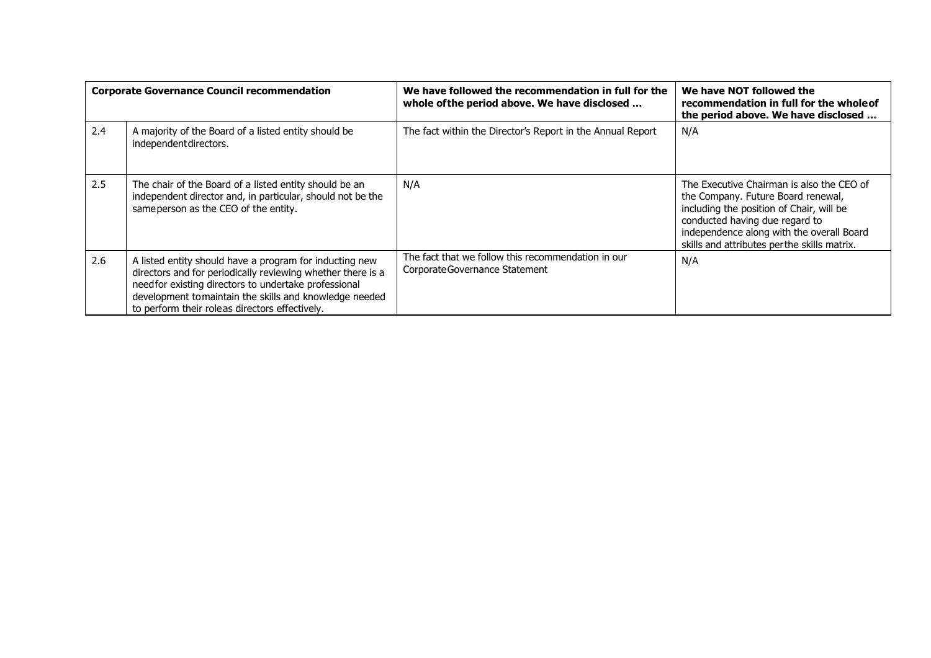|     | <b>Corporate Governance Council recommendation</b>                                                                                                                                                                                                                                           | We have followed the recommendation in full for the<br>whole of the period above. We have disclosed | We have NOT followed the<br>recommendation in full for the whole of<br>the period above. We have disclosed                                                                                                                                                |
|-----|----------------------------------------------------------------------------------------------------------------------------------------------------------------------------------------------------------------------------------------------------------------------------------------------|-----------------------------------------------------------------------------------------------------|-----------------------------------------------------------------------------------------------------------------------------------------------------------------------------------------------------------------------------------------------------------|
| 2.4 | A majority of the Board of a listed entity should be<br>independent directors.                                                                                                                                                                                                               | The fact within the Director's Report in the Annual Report                                          | N/A                                                                                                                                                                                                                                                       |
| 2.5 | The chair of the Board of a listed entity should be an<br>independent director and, in particular, should not be the<br>same person as the CEO of the entity.                                                                                                                                | N/A                                                                                                 | The Executive Chairman is also the CEO of<br>the Company. Future Board renewal,<br>including the position of Chair, will be<br>conducted having due regard to<br>independence along with the overall Board<br>skills and attributes perthe skills matrix. |
| 2.6 | A listed entity should have a program for inducting new<br>directors and for periodically reviewing whether there is a<br>need for existing directors to undertake professional<br>development to maintain the skills and knowledge needed<br>to perform their roleas directors effectively. | The fact that we follow this recommendation in our<br>Corporate Governance Statement                | N/A                                                                                                                                                                                                                                                       |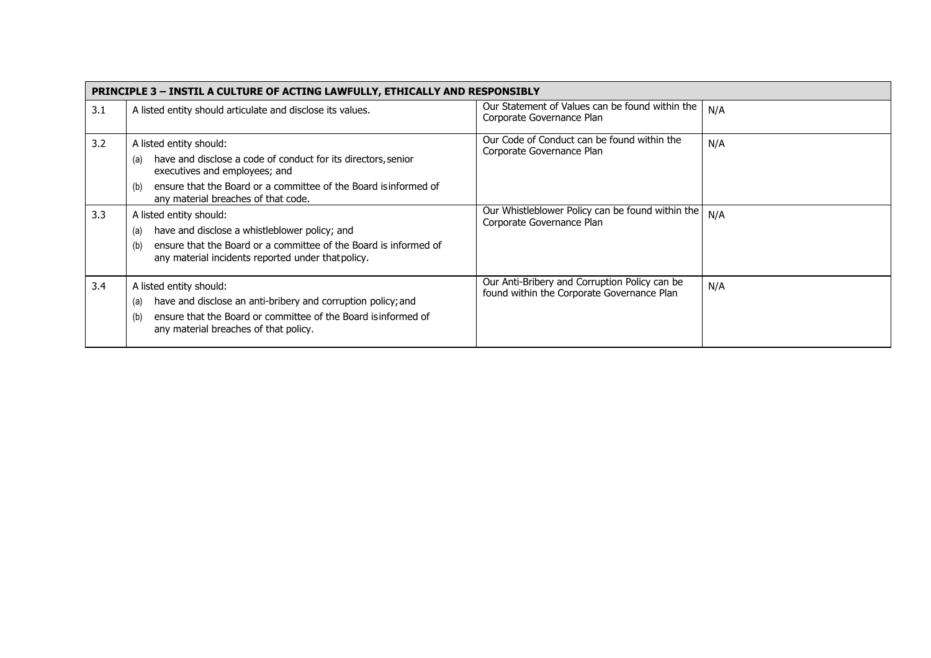|     | <b>PRINCIPLE 3 - INSTIL A CULTURE OF ACTING LAWFULLY, ETHICALLY AND RESPONSIBLY</b>                                                                                                                              |                                                                                             |     |  |  |
|-----|------------------------------------------------------------------------------------------------------------------------------------------------------------------------------------------------------------------|---------------------------------------------------------------------------------------------|-----|--|--|
| 3.1 | A listed entity should articulate and disclose its values.                                                                                                                                                       | Our Statement of Values can be found within the<br>Corporate Governance Plan                | N/A |  |  |
| 3.2 | A listed entity should:<br>have and disclose a code of conduct for its directors, senior<br>(a)<br>executives and employees; and                                                                                 | Our Code of Conduct can be found within the<br>Corporate Governance Plan                    | N/A |  |  |
|     | ensure that the Board or a committee of the Board is informed of<br>(b)<br>any material breaches of that code.                                                                                                   |                                                                                             |     |  |  |
| 3.3 | A listed entity should:<br>have and disclose a whistleblower policy; and<br>(a)<br>ensure that the Board or a committee of the Board is informed of<br>(b)<br>any material incidents reported under that policy. | Our Whistleblower Policy can be found within the<br>Corporate Governance Plan               | N/A |  |  |
| 3.4 | A listed entity should:<br>have and disclose an anti-bribery and corruption policy; and<br>(a)<br>ensure that the Board or committee of the Board is informed of<br>(b)<br>any material breaches of that policy. | Our Anti-Bribery and Corruption Policy can be<br>found within the Corporate Governance Plan | N/A |  |  |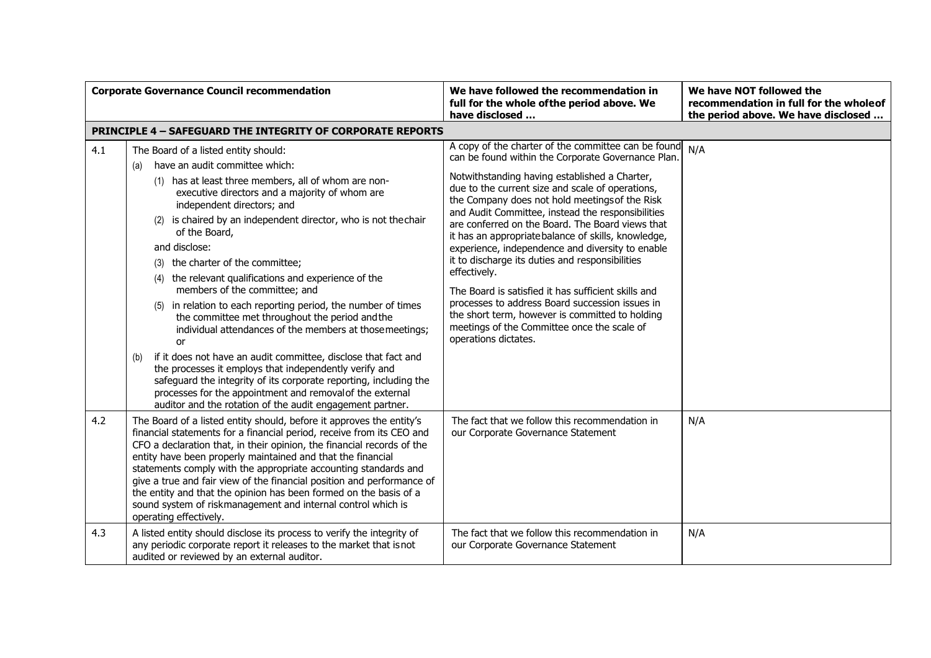| <b>Corporate Governance Council recommendation</b> |                                                                                                                                                                                                                                                                                                                                                                                                                                                                                                                                                                                                                                                                                                                                                                                                                                                                                                                                                                                   | We have followed the recommendation in<br>full for the whole of the period above. We<br>have disclosed                                                                                                                                                                                                                                                                                                                                                                                                                                                                                                                                                                                                                                                                                      | We have NOT followed the<br>recommendation in full for the whole of<br>the period above. We have disclosed |
|----------------------------------------------------|-----------------------------------------------------------------------------------------------------------------------------------------------------------------------------------------------------------------------------------------------------------------------------------------------------------------------------------------------------------------------------------------------------------------------------------------------------------------------------------------------------------------------------------------------------------------------------------------------------------------------------------------------------------------------------------------------------------------------------------------------------------------------------------------------------------------------------------------------------------------------------------------------------------------------------------------------------------------------------------|---------------------------------------------------------------------------------------------------------------------------------------------------------------------------------------------------------------------------------------------------------------------------------------------------------------------------------------------------------------------------------------------------------------------------------------------------------------------------------------------------------------------------------------------------------------------------------------------------------------------------------------------------------------------------------------------------------------------------------------------------------------------------------------------|------------------------------------------------------------------------------------------------------------|
|                                                    | <b>PRINCIPLE 4 - SAFEGUARD THE INTEGRITY OF CORPORATE REPORTS</b>                                                                                                                                                                                                                                                                                                                                                                                                                                                                                                                                                                                                                                                                                                                                                                                                                                                                                                                 |                                                                                                                                                                                                                                                                                                                                                                                                                                                                                                                                                                                                                                                                                                                                                                                             |                                                                                                            |
| 4.1                                                | The Board of a listed entity should:<br>have an audit committee which:<br>(a)<br>(1) has at least three members, all of whom are non-<br>executive directors and a majority of whom are<br>independent directors; and<br>(2) is chaired by an independent director, who is not the chair<br>of the Board,<br>and disclose:<br>(3) the charter of the committee;<br>(4) the relevant qualifications and experience of the<br>members of the committee; and<br>(5) in relation to each reporting period, the number of times<br>the committee met throughout the period and the<br>individual attendances of the members at those meetings;<br>0r<br>if it does not have an audit committee, disclose that fact and<br>(b)<br>the processes it employs that independently verify and<br>safeguard the integrity of its corporate reporting, including the<br>processes for the appointment and removal of the external<br>auditor and the rotation of the audit engagement partner. | A copy of the charter of the committee can be found<br>can be found within the Corporate Governance Plan.<br>Notwithstanding having established a Charter,<br>due to the current size and scale of operations,<br>the Company does not hold meetings of the Risk<br>and Audit Committee, instead the responsibilities<br>are conferred on the Board. The Board views that<br>it has an appropriate balance of skills, knowledge,<br>experience, independence and diversity to enable<br>it to discharge its duties and responsibilities<br>effectively.<br>The Board is satisfied it has sufficient skills and<br>processes to address Board succession issues in<br>the short term, however is committed to holding<br>meetings of the Committee once the scale of<br>operations dictates. | N/A                                                                                                        |
| 4.2<br>4.3                                         | The Board of a listed entity should, before it approves the entity's<br>financial statements for a financial period, receive from its CEO and<br>CFO a declaration that, in their opinion, the financial records of the<br>entity have been properly maintained and that the financial<br>statements comply with the appropriate accounting standards and<br>give a true and fair view of the financial position and performance of<br>the entity and that the opinion has been formed on the basis of a<br>sound system of riskmanagement and internal control which is<br>operating effectively.<br>A listed entity should disclose its process to verify the integrity of                                                                                                                                                                                                                                                                                                      | The fact that we follow this recommendation in<br>our Corporate Governance Statement<br>The fact that we follow this recommendation in                                                                                                                                                                                                                                                                                                                                                                                                                                                                                                                                                                                                                                                      | N/A<br>N/A                                                                                                 |
|                                                    | any periodic corporate report it releases to the market that is not<br>audited or reviewed by an external auditor.                                                                                                                                                                                                                                                                                                                                                                                                                                                                                                                                                                                                                                                                                                                                                                                                                                                                | our Corporate Governance Statement                                                                                                                                                                                                                                                                                                                                                                                                                                                                                                                                                                                                                                                                                                                                                          |                                                                                                            |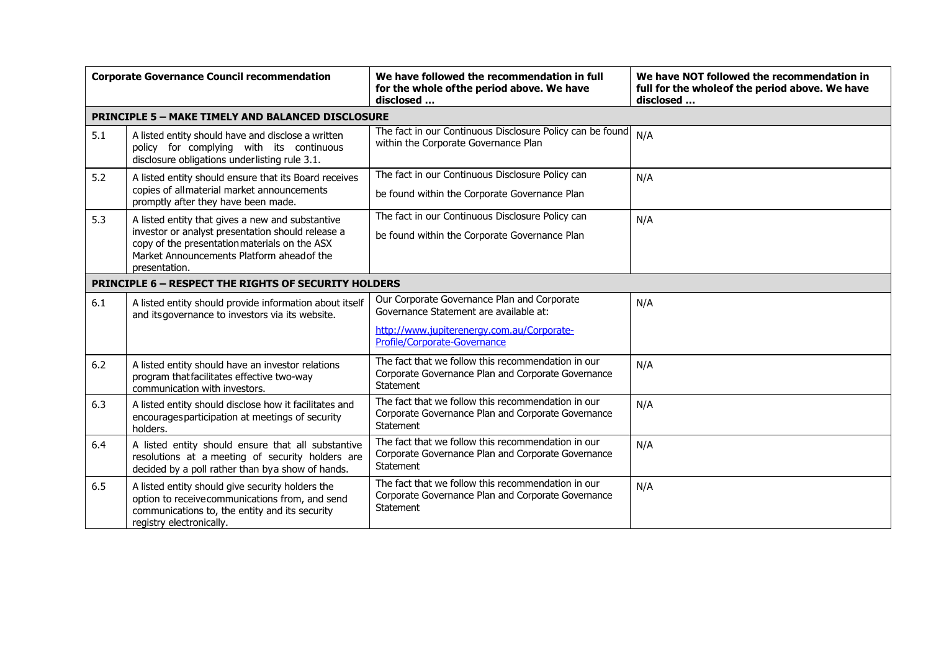| <b>Corporate Governance Council recommendation</b> |                                                                                                                                                                                                                       | We have followed the recommendation in full<br>for the whole of the period above. We have<br>disclosed                                                              | We have NOT followed the recommendation in<br>full for the wholeof the period above. We have<br>disclosed |  |
|----------------------------------------------------|-----------------------------------------------------------------------------------------------------------------------------------------------------------------------------------------------------------------------|---------------------------------------------------------------------------------------------------------------------------------------------------------------------|-----------------------------------------------------------------------------------------------------------|--|
|                                                    | <b>PRINCIPLE 5 - MAKE TIMELY AND BALANCED DISCLOSURE</b>                                                                                                                                                              |                                                                                                                                                                     |                                                                                                           |  |
| 5.1                                                | A listed entity should have and disclose a written<br>policy for complying with its continuous<br>disclosure obligations underlisting rule 3.1.                                                                       | The fact in our Continuous Disclosure Policy can be found<br>within the Corporate Governance Plan                                                                   | N/A                                                                                                       |  |
| 5.2                                                | A listed entity should ensure that its Board receives<br>copies of allmaterial market announcements<br>promptly after they have been made.                                                                            | The fact in our Continuous Disclosure Policy can<br>be found within the Corporate Governance Plan                                                                   | N/A                                                                                                       |  |
| 5.3                                                | A listed entity that gives a new and substantive<br>investor or analyst presentation should release a<br>copy of the presentation materials on the ASX<br>Market Announcements Platform ahead of the<br>presentation. | The fact in our Continuous Disclosure Policy can<br>be found within the Corporate Governance Plan                                                                   | N/A                                                                                                       |  |
|                                                    | <b>PRINCIPLE 6 - RESPECT THE RIGHTS OF SECURITY HOLDERS</b>                                                                                                                                                           |                                                                                                                                                                     |                                                                                                           |  |
| 6.1                                                | A listed entity should provide information about itself<br>and its governance to investors via its website.                                                                                                           | Our Corporate Governance Plan and Corporate<br>Governance Statement are available at:<br>http://www.jupiterenergy.com.au/Corporate-<br>Profile/Corporate-Governance | N/A                                                                                                       |  |
| 6.2                                                | A listed entity should have an investor relations<br>program thatfacilitates effective two-way<br>communication with investors.                                                                                       | The fact that we follow this recommendation in our<br>Corporate Governance Plan and Corporate Governance<br>Statement                                               | N/A                                                                                                       |  |
| 6.3                                                | A listed entity should disclose how it facilitates and<br>encourages participation at meetings of security<br>holders.                                                                                                | The fact that we follow this recommendation in our<br>Corporate Governance Plan and Corporate Governance<br>Statement                                               | N/A                                                                                                       |  |
| 6.4                                                | A listed entity should ensure that all substantive<br>resolutions at a meeting of security holders are<br>decided by a poll rather than by a show of hands.                                                           | The fact that we follow this recommendation in our<br>Corporate Governance Plan and Corporate Governance<br>Statement                                               | N/A                                                                                                       |  |
| 6.5                                                | A listed entity should give security holders the<br>option to receive communications from, and send<br>communications to, the entity and its security<br>registry electronically.                                     | The fact that we follow this recommendation in our<br>Corporate Governance Plan and Corporate Governance<br><b>Statement</b>                                        | N/A                                                                                                       |  |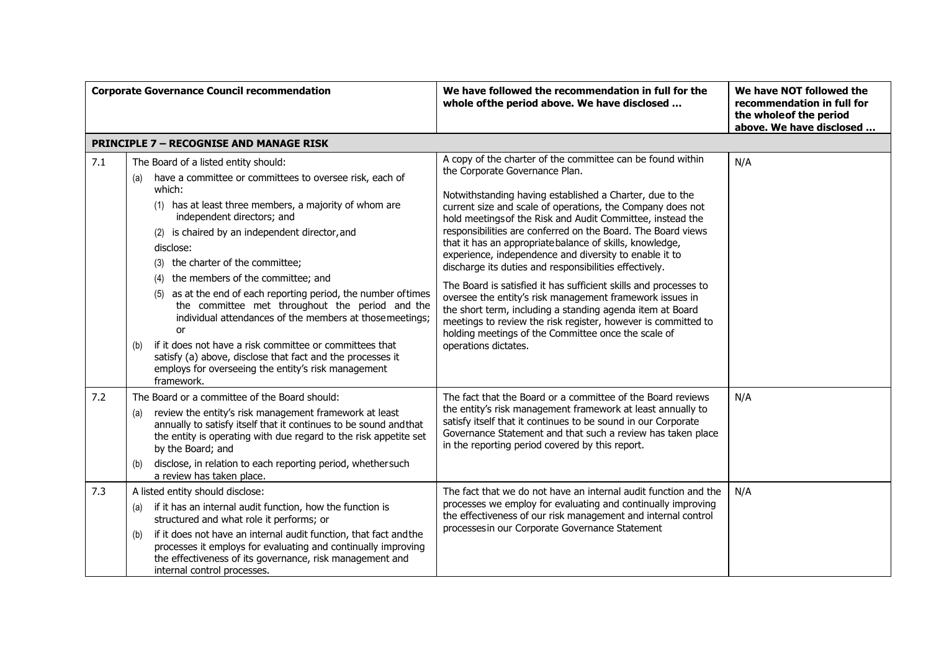| <b>Corporate Governance Council recommendation</b> |                                                                                                                                                                                                                                                                                                                                                                                                                                                                                                                                                                                                                                                                                                                                                       | We have followed the recommendation in full for the<br>whole of the period above. We have disclosed                                                                                                                                                                                                                                                                                                                                                                                                                                                                                                                                                                                                                                                                                                                                                                               | We have NOT followed the<br>recommendation in full for<br>the whole of the period<br>above. We have disclosed |
|----------------------------------------------------|-------------------------------------------------------------------------------------------------------------------------------------------------------------------------------------------------------------------------------------------------------------------------------------------------------------------------------------------------------------------------------------------------------------------------------------------------------------------------------------------------------------------------------------------------------------------------------------------------------------------------------------------------------------------------------------------------------------------------------------------------------|-----------------------------------------------------------------------------------------------------------------------------------------------------------------------------------------------------------------------------------------------------------------------------------------------------------------------------------------------------------------------------------------------------------------------------------------------------------------------------------------------------------------------------------------------------------------------------------------------------------------------------------------------------------------------------------------------------------------------------------------------------------------------------------------------------------------------------------------------------------------------------------|---------------------------------------------------------------------------------------------------------------|
|                                                    | <b>PRINCIPLE 7 - RECOGNISE AND MANAGE RISK</b>                                                                                                                                                                                                                                                                                                                                                                                                                                                                                                                                                                                                                                                                                                        |                                                                                                                                                                                                                                                                                                                                                                                                                                                                                                                                                                                                                                                                                                                                                                                                                                                                                   |                                                                                                               |
| 7.1                                                | The Board of a listed entity should:<br>have a committee or committees to oversee risk, each of<br>(a)<br>which:<br>(1) has at least three members, a majority of whom are<br>independent directors; and<br>(2) is chaired by an independent director, and<br>disclose:<br>(3) the charter of the committee;<br>the members of the committee; and<br>(4)<br>(5) as at the end of each reporting period, the number of times<br>the committee met throughout the period and the<br>individual attendances of the members at those meetings;<br>or<br>if it does not have a risk committee or committees that<br>(b)<br>satisfy (a) above, disclose that fact and the processes it<br>employs for overseeing the entity's risk management<br>framework. | A copy of the charter of the committee can be found within<br>the Corporate Governance Plan.<br>Notwithstanding having established a Charter, due to the<br>current size and scale of operations, the Company does not<br>hold meetings of the Risk and Audit Committee, instead the<br>responsibilities are conferred on the Board. The Board views<br>that it has an appropriate balance of skills, knowledge,<br>experience, independence and diversity to enable it to<br>discharge its duties and responsibilities effectively.<br>The Board is satisfied it has sufficient skills and processes to<br>oversee the entity's risk management framework issues in<br>the short term, including a standing agenda item at Board<br>meetings to review the risk register, however is committed to<br>holding meetings of the Committee once the scale of<br>operations dictates. | N/A                                                                                                           |
| 7.2                                                | The Board or a committee of the Board should:<br>review the entity's risk management framework at least<br>(a)<br>annually to satisfy itself that it continues to be sound and that<br>the entity is operating with due regard to the risk appetite set<br>by the Board; and<br>disclose, in relation to each reporting period, whether such<br>(b)<br>a review has taken place.                                                                                                                                                                                                                                                                                                                                                                      | The fact that the Board or a committee of the Board reviews<br>the entity's risk management framework at least annually to<br>satisfy itself that it continues to be sound in our Corporate<br>Governance Statement and that such a review has taken place<br>in the reporting period covered by this report.                                                                                                                                                                                                                                                                                                                                                                                                                                                                                                                                                                     | N/A                                                                                                           |
| 7.3                                                | A listed entity should disclose:<br>if it has an internal audit function, how the function is<br>(a)<br>structured and what role it performs; or<br>if it does not have an internal audit function, that fact and the<br>(b)<br>processes it employs for evaluating and continually improving<br>the effectiveness of its governance, risk management and<br>internal control processes.                                                                                                                                                                                                                                                                                                                                                              | The fact that we do not have an internal audit function and the<br>processes we employ for evaluating and continually improving<br>the effectiveness of our risk management and internal control<br>processesin our Corporate Governance Statement                                                                                                                                                                                                                                                                                                                                                                                                                                                                                                                                                                                                                                | N/A                                                                                                           |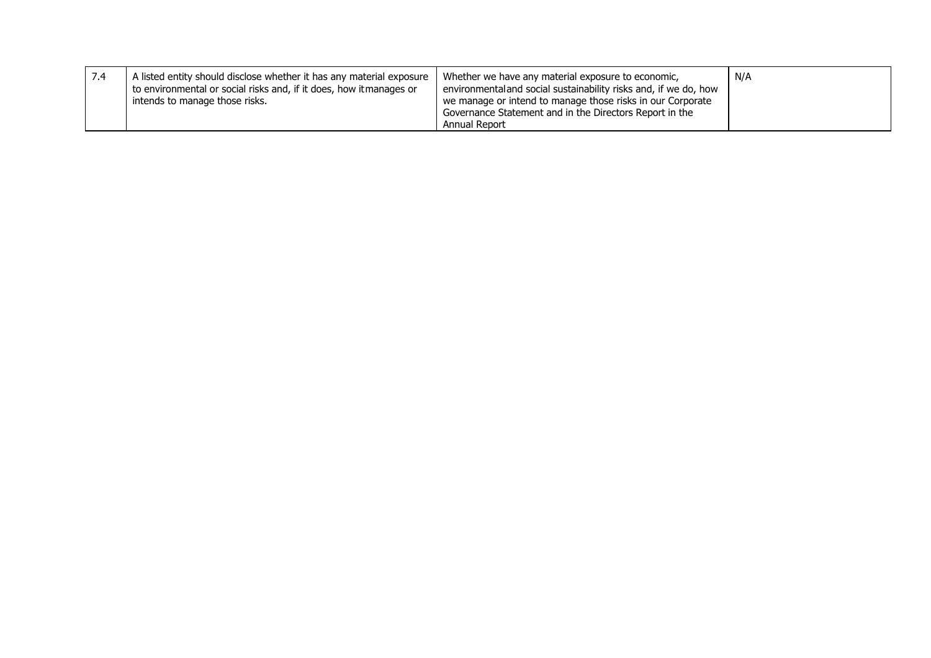| 7.4 | A listed entity should disclose whether it has any material exposure<br>to environmental or social risks and, if it does, how itmanages or<br>intends to manage those risks. | Whether we have any material exposure to economic,<br>environmental and social sustainability risks and, if we do, how<br>we manage or intend to manage those risks in our Corporate<br>Governance Statement and in the Directors Report in the<br>Annual Report | N/A |
|-----|------------------------------------------------------------------------------------------------------------------------------------------------------------------------------|------------------------------------------------------------------------------------------------------------------------------------------------------------------------------------------------------------------------------------------------------------------|-----|
|-----|------------------------------------------------------------------------------------------------------------------------------------------------------------------------------|------------------------------------------------------------------------------------------------------------------------------------------------------------------------------------------------------------------------------------------------------------------|-----|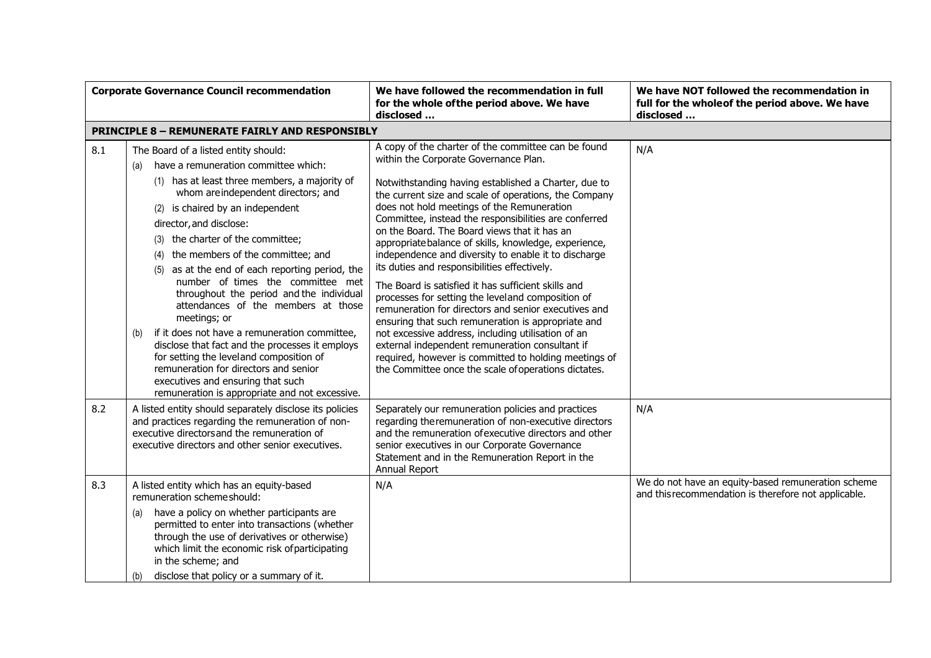| <b>Corporate Governance Council recommendation</b> |                                                                                                                                                                                                                                                                                                                                                                                                                                                                                                                                                                                                                                                                                                                                                                                                               | We have followed the recommendation in full<br>for the whole of the period above. We have<br>disclosed                                                                                                                                                                                                                                                                                                                                                                                                                                                                                                                                                                                                                                                                                                                                                                                                                                                                                    | We have NOT followed the recommendation in<br>full for the wholeof the period above. We have<br>disclosed  |
|----------------------------------------------------|---------------------------------------------------------------------------------------------------------------------------------------------------------------------------------------------------------------------------------------------------------------------------------------------------------------------------------------------------------------------------------------------------------------------------------------------------------------------------------------------------------------------------------------------------------------------------------------------------------------------------------------------------------------------------------------------------------------------------------------------------------------------------------------------------------------|-------------------------------------------------------------------------------------------------------------------------------------------------------------------------------------------------------------------------------------------------------------------------------------------------------------------------------------------------------------------------------------------------------------------------------------------------------------------------------------------------------------------------------------------------------------------------------------------------------------------------------------------------------------------------------------------------------------------------------------------------------------------------------------------------------------------------------------------------------------------------------------------------------------------------------------------------------------------------------------------|------------------------------------------------------------------------------------------------------------|
|                                                    | <b>PRINCIPLE 8 - REMUNERATE FAIRLY AND RESPONSIBLY</b>                                                                                                                                                                                                                                                                                                                                                                                                                                                                                                                                                                                                                                                                                                                                                        |                                                                                                                                                                                                                                                                                                                                                                                                                                                                                                                                                                                                                                                                                                                                                                                                                                                                                                                                                                                           |                                                                                                            |
| 8.1                                                | The Board of a listed entity should:<br>have a remuneration committee which:<br>(a)<br>(1) has at least three members, a majority of<br>whom are independent directors; and<br>(2) is chaired by an independent<br>director, and disclose:<br>(3) the charter of the committee;<br>the members of the committee; and<br>(4)<br>(5) as at the end of each reporting period, the<br>number of times the committee met<br>throughout the period and the individual<br>attendances of the members at those<br>meetings; or<br>if it does not have a remuneration committee,<br>(b)<br>disclose that fact and the processes it employs<br>for setting the level and composition of<br>remuneration for directors and senior<br>executives and ensuring that such<br>remuneration is appropriate and not excessive. | A copy of the charter of the committee can be found<br>within the Corporate Governance Plan.<br>Notwithstanding having established a Charter, due to<br>the current size and scale of operations, the Company<br>does not hold meetings of the Remuneration<br>Committee, instead the responsibilities are conferred<br>on the Board. The Board views that it has an<br>appropriate balance of skills, knowledge, experience,<br>independence and diversity to enable it to discharge<br>its duties and responsibilities effectively.<br>The Board is satisfied it has sufficient skills and<br>processes for setting the leveland composition of<br>remuneration for directors and senior executives and<br>ensuring that such remuneration is appropriate and<br>not excessive address, including utilisation of an<br>external independent remuneration consultant if<br>required, however is committed to holding meetings of<br>the Committee once the scale of operations dictates. | N/A                                                                                                        |
| 8.2                                                | A listed entity should separately disclose its policies<br>and practices regarding the remuneration of non-<br>executive directorsand the remuneration of<br>executive directors and other senior executives.                                                                                                                                                                                                                                                                                                                                                                                                                                                                                                                                                                                                 | Separately our remuneration policies and practices<br>regarding the remuneration of non-executive directors<br>and the remuneration of executive directors and other<br>senior executives in our Corporate Governance<br>Statement and in the Remuneration Report in the<br>Annual Report                                                                                                                                                                                                                                                                                                                                                                                                                                                                                                                                                                                                                                                                                                 | N/A                                                                                                        |
| 8.3                                                | A listed entity which has an equity-based<br>remuneration schemeshould:<br>have a policy on whether participants are<br>(a)<br>permitted to enter into transactions (whether<br>through the use of derivatives or otherwise)<br>which limit the economic risk of participating<br>in the scheme; and<br>disclose that policy or a summary of it.<br>(b)                                                                                                                                                                                                                                                                                                                                                                                                                                                       | N/A                                                                                                                                                                                                                                                                                                                                                                                                                                                                                                                                                                                                                                                                                                                                                                                                                                                                                                                                                                                       | We do not have an equity-based remuneration scheme<br>and this recommendation is therefore not applicable. |